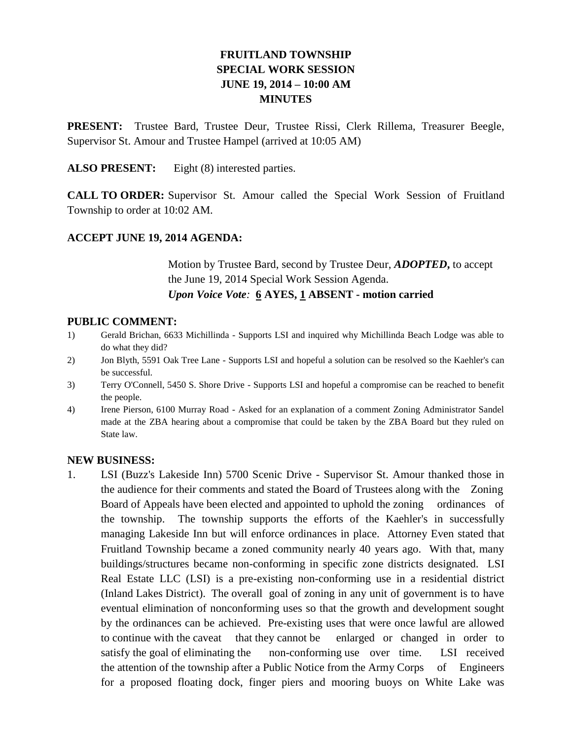# **FRUITLAND TOWNSHIP SPECIAL WORK SESSION JUNE 19, 2014 – 10:00 AM MINUTES**

**PRESENT:** Trustee Bard, Trustee Deur, Trustee Rissi, Clerk Rillema, Treasurer Beegle, Supervisor St. Amour and Trustee Hampel (arrived at 10:05 AM)

**ALSO PRESENT:** Eight (8) interested parties.

**CALL TO ORDER:** Supervisor St. Amour called the Special Work Session of Fruitland Township to order at 10:02 AM.

## **ACCEPT JUNE 19, 2014 AGENDA:**

Motion by Trustee Bard, second by Trustee Deur, *ADOPTED***,** to accept the June 19, 2014 Special Work Session Agenda. *Upon Voice Vote:* **6 AYES, 1 ABSENT - motion carried**

#### **PUBLIC COMMENT:**

- 1) Gerald Brichan, 6633 Michillinda Supports LSI and inquired why Michillinda Beach Lodge was able to do what they did?
- 2) Jon Blyth, 5591 Oak Tree Lane Supports LSI and hopeful a solution can be resolved so the Kaehler's can be successful.
- 3) Terry O'Connell, 5450 S. Shore Drive Supports LSI and hopeful a compromise can be reached to benefit the people.
- 4) Irene Pierson, 6100 Murray Road Asked for an explanation of a comment Zoning Administrator Sandel made at the ZBA hearing about a compromise that could be taken by the ZBA Board but they ruled on State law.

#### **NEW BUSINESS:**

1. LSI (Buzz's Lakeside Inn) 5700 Scenic Drive - Supervisor St. Amour thanked those in the audience for their comments and stated the Board of Trustees along with the Zoning Board of Appeals have been elected and appointed to uphold the zoning ordinances of the township. The township supports the efforts of the Kaehler's in successfully managing Lakeside Inn but will enforce ordinances in place. Attorney Even stated that Fruitland Township became a zoned community nearly 40 years ago. With that, many buildings/structures became non-conforming in specific zone districts designated. LSI Real Estate LLC (LSI) is a pre-existing non-conforming use in a residential district (Inland Lakes District). The overall goal of zoning in any unit of government is to have eventual elimination of nonconforming uses so that the growth and development sought by the ordinances can be achieved. Pre-existing uses that were once lawful are allowed to continue with the caveat that they cannot be enlarged or changed in order to satisfy the goal of eliminating the non-conforming use over time. LSI received the attention of the township after a Public Notice from the Army Corps of Engineers for a proposed floating dock, finger piers and mooring buoys on White Lake was